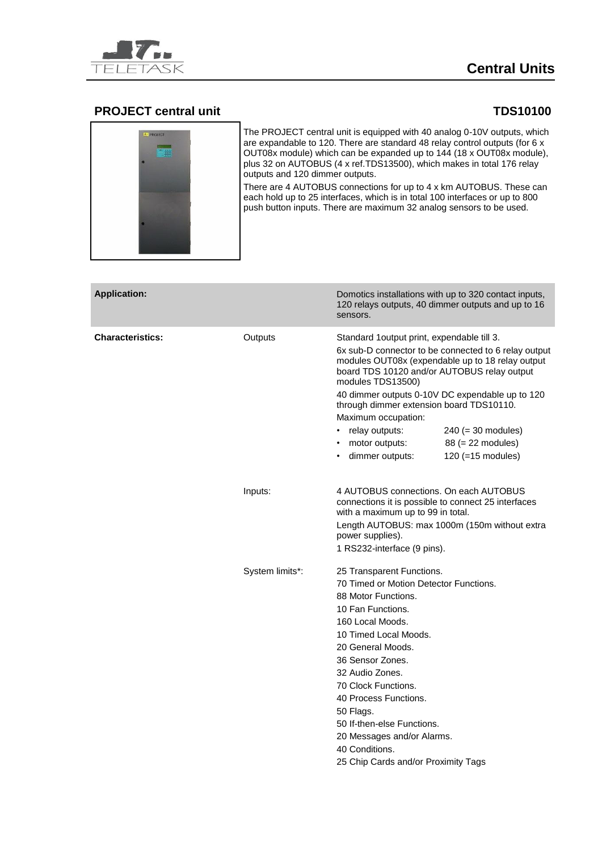

# **Central Units**

### **PROJECT central unit TDS10100**

The PROJECT central unit is equipped with 40 analog 0-10V outputs, which are expandable to 120. There are standard 48 relay control outputs (for 6 x OUT08x module) which can be expanded up to 144 (18 x OUT08x module), plus 32 on AUTOBUS (4 x ref.TDS13500), which makes in total 176 relay outputs and 120 dimmer outputs.

There are 4 AUTOBUS connections for up to 4 x km AUTOBUS. These can each hold up to 25 interfaces, which is in total 100 interfaces or up to 800 push button inputs. There are maximum 32 analog sensors to be used.

| <b>Application:</b>     |                 | sensors.                                                                                                                                                                                                                                                                                                                                                                                                                                                     | Domotics installations with up to 320 contact inputs,<br>120 relays outputs, 40 dimmer outputs and up to 16                                                         |  |
|-------------------------|-----------------|--------------------------------------------------------------------------------------------------------------------------------------------------------------------------------------------------------------------------------------------------------------------------------------------------------------------------------------------------------------------------------------------------------------------------------------------------------------|---------------------------------------------------------------------------------------------------------------------------------------------------------------------|--|
| <b>Characteristics:</b> | Outputs         | Standard 1 output print, expendable till 3.<br>6x sub-D connector to be connected to 6 relay output<br>modules OUT08x (expendable up to 18 relay output<br>board TDS 10120 and/or AUTOBUS relay output<br>modules TDS13500)<br>40 dimmer outputs 0-10V DC expendable up to 120<br>through dimmer extension board TDS10110.<br>Maximum occupation:<br>relay outputs:<br>$240 (= 30$ modules)<br>$\bullet$<br>88 (= 22 modules)<br>motor outputs:<br>$\bullet$ |                                                                                                                                                                     |  |
|                         | Inputs:         | dimmer outputs:<br>with a maximum up to 99 in total.<br>power supplies).<br>1 RS232-interface (9 pins).                                                                                                                                                                                                                                                                                                                                                      | 120 (=15 modules)<br>4 AUTOBUS connections. On each AUTOBUS<br>connections it is possible to connect 25 interfaces<br>Length AUTOBUS: max 1000m (150m without extra |  |
|                         | System limits*: | 25 Transparent Functions.<br>70 Timed or Motion Detector Functions.<br>88 Motor Functions.<br>10 Fan Functions.<br>160 Local Moods.<br>10 Timed Local Moods.<br>20 General Moods.<br>36 Sensor Zones.<br>32 Audio Zones.<br>70 Clock Functions.<br>40 Process Functions.<br>50 Flags.<br>50 If-then-else Functions.<br>20 Messages and/or Alarms.<br>40 Conditions.<br>25 Chip Cards and/or Proximity Tags                                                   |                                                                                                                                                                     |  |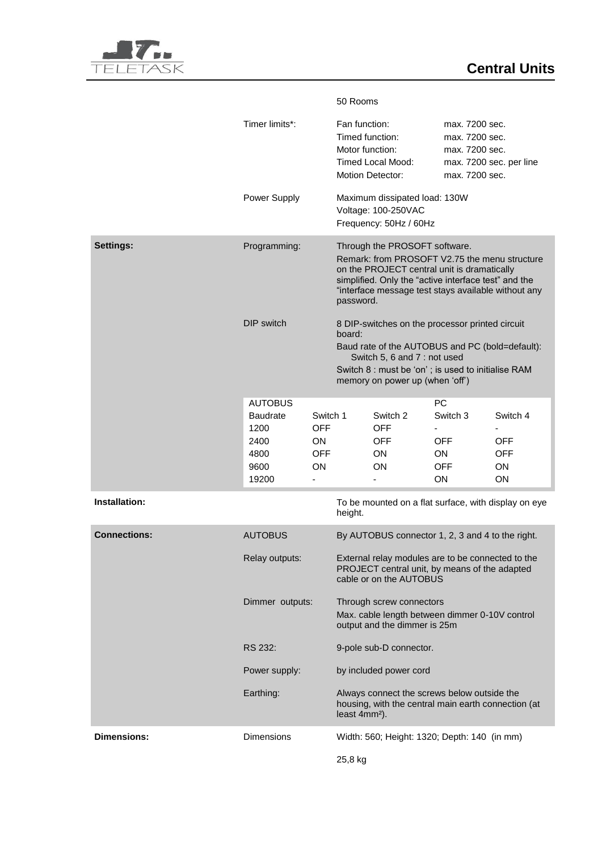|                                       |                                                                            |                                                                     | 50 Rooms                                                                                                                                                                                                                                                  |                                                      |                                                                       |                                                  |
|---------------------------------------|----------------------------------------------------------------------------|---------------------------------------------------------------------|-----------------------------------------------------------------------------------------------------------------------------------------------------------------------------------------------------------------------------------------------------------|------------------------------------------------------|-----------------------------------------------------------------------|--------------------------------------------------|
|                                       | Timer limits*:                                                             |                                                                     | Fan function:<br>Timed function:<br>Motor function:                                                                                                                                                                                                       | <b>Timed Local Mood:</b><br><b>Motion Detector:</b>  | max. 7200 sec.<br>max. 7200 sec.<br>max. 7200 sec.<br>max. 7200 sec.  | max. 7200 sec. per line                          |
| Power Supply                          |                                                                            |                                                                     | Maximum dissipated load: 130W<br>Voltage: 100-250VAC<br>Frequency: 50Hz / 60Hz                                                                                                                                                                            |                                                      |                                                                       |                                                  |
| <b>Settings:</b>                      | Programming:                                                               |                                                                     | Through the PROSOFT software.<br>Remark: from PROSOFT V2.75 the menu structure<br>on the PROJECT central unit is dramatically<br>simplified. Only the "active interface test" and the<br>"interface message test stays available without any<br>password. |                                                      |                                                                       |                                                  |
|                                       | <b>DIP</b> switch                                                          |                                                                     | 8 DIP-switches on the processor printed circuit<br>board:<br>Baud rate of the AUTOBUS and PC (bold=default):<br>Switch 5, 6 and 7 : not used<br>Switch 8 : must be 'on'; is used to initialise RAM                                                        |                                                      |                                                                       |                                                  |
|                                       |                                                                            |                                                                     | memory on power up (when 'off')                                                                                                                                                                                                                           |                                                      |                                                                       |                                                  |
|                                       | <b>AUTOBUS</b><br><b>Baudrate</b><br>1200<br>2400<br>4800<br>9600<br>19200 | Switch 1<br><b>OFF</b><br><b>ON</b><br><b>OFF</b><br><b>ON</b><br>- |                                                                                                                                                                                                                                                           | Switch 2<br><b>OFF</b><br><b>OFF</b><br>ΟN<br>ON     | <b>PC</b><br>Switch 3<br><b>OFF</b><br>ON.<br><b>OFF</b><br><b>ON</b> | Switch 4<br><b>OFF</b><br><b>OFF</b><br>ON<br>ON |
| Installation:                         |                                                                            |                                                                     | height.                                                                                                                                                                                                                                                   | To be mounted on a flat surface, with display on eye |                                                                       |                                                  |
| <b>Connections:</b>                   | <b>AUTOBUS</b>                                                             |                                                                     | By AUTOBUS connector 1, 2, 3 and 4 to the right.                                                                                                                                                                                                          |                                                      |                                                                       |                                                  |
|                                       | Relay outputs:                                                             |                                                                     | External relay modules are to be connected to the<br>PROJECT central unit, by means of the adapted<br>cable or on the AUTOBUS                                                                                                                             |                                                      |                                                                       |                                                  |
|                                       | Dimmer outputs:                                                            |                                                                     | Through screw connectors<br>Max. cable length between dimmer 0-10V control<br>output and the dimmer is 25m                                                                                                                                                |                                                      |                                                                       |                                                  |
| RS 232:<br>Power supply:<br>Earthing: |                                                                            | 9-pole sub-D connector.                                             |                                                                                                                                                                                                                                                           |                                                      |                                                                       |                                                  |
|                                       |                                                                            | by included power cord                                              |                                                                                                                                                                                                                                                           |                                                      |                                                                       |                                                  |
|                                       |                                                                            |                                                                     | Always connect the screws below outside the<br>housing, with the central main earth connection (at<br>least 4mm <sup>2</sup> ).                                                                                                                           |                                                      |                                                                       |                                                  |
| <b>Dimensions:</b>                    | <b>Dimensions</b>                                                          |                                                                     |                                                                                                                                                                                                                                                           | Width: 560; Height: 1320; Depth: 140 (in mm)         |                                                                       |                                                  |
|                                       |                                                                            |                                                                     | 25,8 kg                                                                                                                                                                                                                                                   |                                                      |                                                                       |                                                  |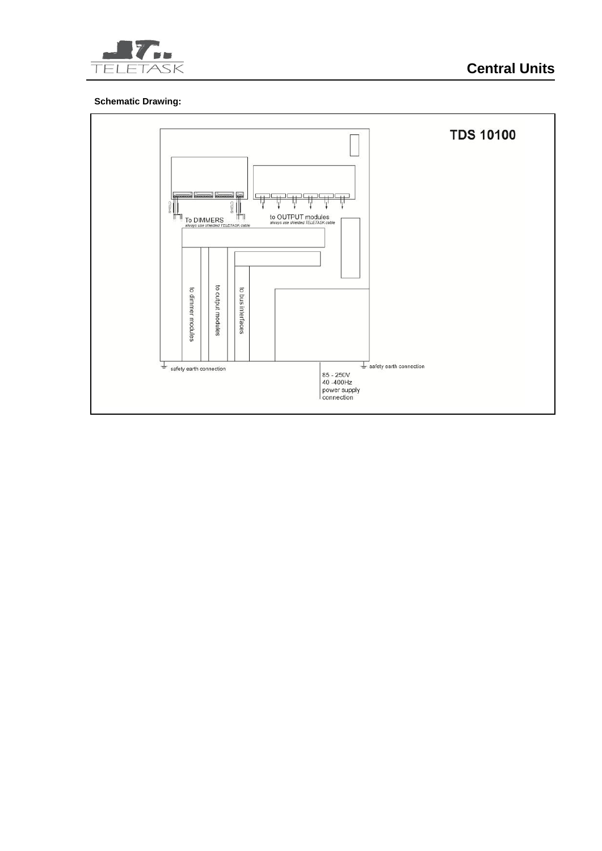

### **Schematic Drawing:**